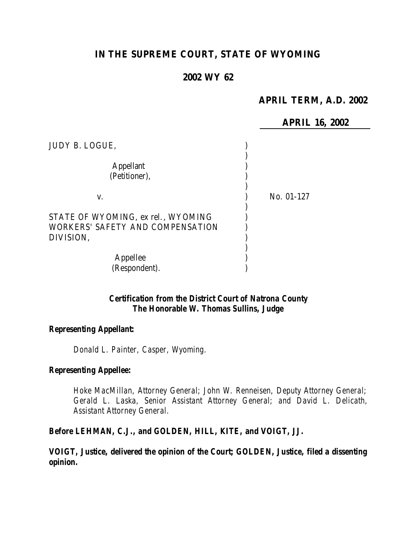# **IN THE SUPREME COURT, STATE OF WYOMING**

# **2002 WY 62**

# **APRIL TERM, A.D. 2002**

**APRIL 16, 2002** JUDY B. LOGUE, ) ) Appellant (1) (Petitioner), ) ) v. ) No. 01-127 ) STATE OF WYOMING, ex rel., WYOMING WORKERS' SAFETY AND COMPENSATION  $)$ DIVISION, ) ) Appellee (b) (Respondent). )

### *Certification from the District Court of Natrona County The Honorable W. Thomas Sullins, Judge*

#### *Representing Appellant:*

*Donald L. Painter, Casper, Wyoming.*

#### *Representing Appellee:*

*Hoke MacMillan, Attorney General; John W. Renneisen, Deputy Attorney General; Gerald L. Laska, Senior Assistant Attorney General; and David L. Delicath, Assistant Attorney General.*

# *Before LEHMAN, C.J., and GOLDEN, HILL, KITE, and VOIGT, JJ.*

*VOIGT, Justice, delivered the opinion of the Court; GOLDEN, Justice, filed a dissenting opinion.*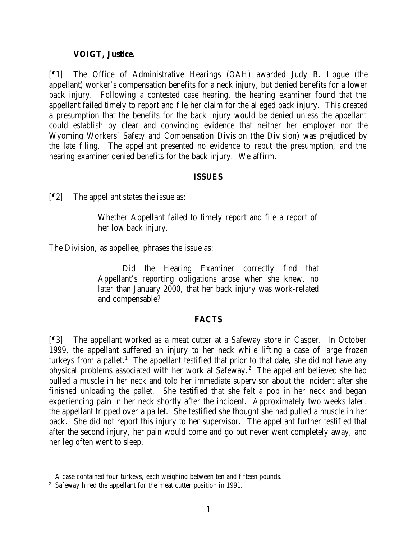#### **VOIGT, Justice.**

[¶1] The Office of Administrative Hearings (OAH) awarded Judy B. Logue (the appellant) worker's compensation benefits for a neck injury, but denied benefits for a lower back injury. Following a contested case hearing, the hearing examiner found that the appellant failed timely to report and file her claim for the alleged back injury. This created a presumption that the benefits for the back injury would be denied unless the appellant could establish by clear and convincing evidence that neither her employer nor the Wyoming Workers' Safety and Compensation Division (the Division) was prejudiced by the late filing. The appellant presented no evidence to rebut the presumption, and the hearing examiner denied benefits for the back injury. We affirm.

#### **ISSUES**

[¶2] The appellant states the issue as:

Whether Appellant failed to timely report and file a report of her low back injury.

The Division, as appellee, phrases the issue as:

Did the Hearing Examiner correctly find that Appellant's reporting obligations arose when she knew, no later than January 2000, that her back injury was work-related and compensable?

### **FACTS**

[¶3] The appellant worked as a meat cutter at a Safeway store in Casper. In October 1999, the appellant suffered an injury to her neck while lifting a case of large frozen turkeys from a pallet.<sup>1</sup> The appellant testified that prior to that date, she did not have any physical problems associated with her work at Safeway.<sup>2</sup> The appellant believed she had pulled a muscle in her neck and told her immediate supervisor about the incident after she finished unloading the pallet. She testified that she felt a pop in her neck and began experiencing pain in her neck shortly after the incident. Approximately two weeks later, the appellant tripped over a pallet. She testified she thought she had pulled a muscle in her back. She did not report this injury to her supervisor. The appellant further testified that after the second injury, her pain would come and go but never went completely away, and her leg often went to sleep.

<sup>&</sup>lt;sup>1</sup> A case contained four turkeys, each weighing between ten and fifteen pounds.

<sup>&</sup>lt;sup>2</sup> Safeway hired the appellant for the meat cutter position in 1991.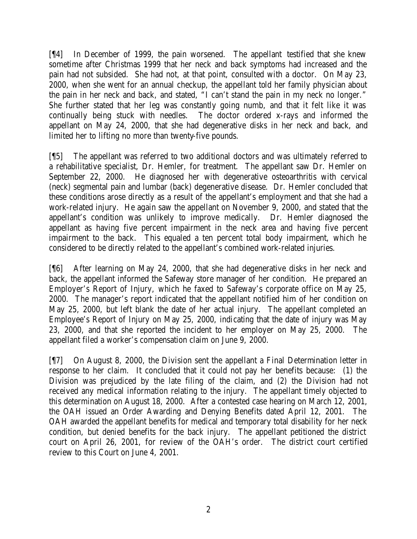[¶4] In December of 1999, the pain worsened. The appellant testified that she knew sometime after Christmas 1999 that her neck and back symptoms had increased and the pain had not subsided. She had not, at that point, consulted with a doctor. On May 23, 2000, when she went for an annual checkup, the appellant told her family physician about the pain in her neck and back, and stated, "I can't stand the pain in my neck no longer." She further stated that her leg was constantly going numb, and that it felt like it was continually being stuck with needles. The doctor ordered x-rays and informed the appellant on May 24, 2000, that she had degenerative disks in her neck and back, and limited her to lifting no more than twenty-five pounds.

[¶5] The appellant was referred to two additional doctors and was ultimately referred to a rehabilitative specialist, Dr. Hemler, for treatment. The appellant saw Dr. Hemler on September 22, 2000. He diagnosed her with degenerative osteoarthritis with cervical (neck) segmental pain and lumbar (back) degenerative disease. Dr. Hemler concluded that these conditions arose directly as a result of the appellant's employment and that she had a work-related injury. He again saw the appellant on November 9, 2000, and stated that the appellant's condition was unlikely to improve medically. Dr. Hemler diagnosed the appellant as having five percent impairment in the neck area and having five percent impairment to the back. This equaled a ten percent total body impairment, which he considered to be directly related to the appellant's combined work-related injuries.

[¶6] After learning on May 24, 2000, that she had degenerative disks in her neck and back, the appellant informed the Safeway store manager of her condition. He prepared an Employer's Report of Injury, which he faxed to Safeway's corporate office on May 25, 2000. The manager's report indicated that the appellant notified him of her condition on May 25, 2000, but left blank the date of her actual injury. The appellant completed an Employee's Report of Injury on May 25, 2000, indicating that the date of injury was May 23, 2000, and that she reported the incident to her employer on May 25, 2000. The appellant filed a worker's compensation claim on June 9, 2000.

[¶7] On August 8, 2000, the Division sent the appellant a Final Determination letter in response to her claim. It concluded that it could not pay her benefits because: (1) the Division was prejudiced by the late filing of the claim, and (2) the Division had not received any medical information relating to the injury. The appellant timely objected to this determination on August 18, 2000. After a contested case hearing on March 12, 2001, the OAH issued an Order Awarding and Denying Benefits dated April 12, 2001. The OAH awarded the appellant benefits for medical and temporary total disability for her neck condition, but denied benefits for the back injury. The appellant petitioned the district court on April 26, 2001, for review of the OAH's order. The district court certified review to this Court on June 4, 2001.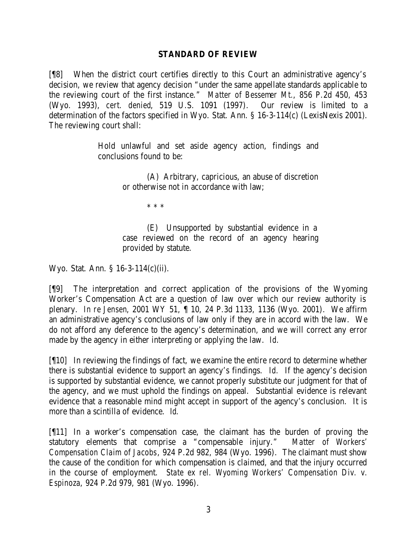### **STANDARD OF REVIEW**

[¶8] When the district court certifies directly to this Court an administrative agency's decision, we review that agency decision "under the same appellate standards applicable to the reviewing court of the first instance." *Matter of Bessemer Mt.*, 856 P.2d 450, 453 (Wyo. 1993), *cert. denied*, 519 U.S. 1091 (1997). Our review is limited to a determination of the factors specified in Wyo. Stat. Ann. § 16-3-114(c) (LexisNexis 2001). The reviewing court shall:

> Hold unlawful and set aside agency action, findings and conclusions found to be:

> > (A) Arbitrary, capricious, an abuse of discretion or otherwise not in accordance with law;

> > > \* \* \*

(E) Unsupported by substantial evidence in a case reviewed on the record of an agency hearing provided by statute.

Wyo. Stat. Ann. § 16-3-114(c)(ii).

[¶9] The interpretation and correct application of the provisions of the Wyoming Worker's Compensation Act are a question of law over which our review authority is plenary. *In re Jensen*, 2001 WY 51, ¶ 10, 24 P.3d 1133, 1136 (Wyo. 2001). We affirm an administrative agency's conclusions of law only if they are in accord with the law. We do not afford any deference to the agency's determination, and we will correct any error made by the agency in either interpreting or applying the law. *Id.*

[¶10] In reviewing the findings of fact, we examine the entire record to determine whether there is substantial evidence to support an agency's findings. *Id.* If the agency's decision is supported by substantial evidence, we cannot properly substitute our judgment for that of the agency, and we must uphold the findings on appeal. Substantial evidence is relevant evidence that a reasonable mind might accept in support of the agency's conclusion. It is more than a scintilla of evidence. *Id.*

[¶11] In a worker's compensation case, the claimant has the burden of proving the statutory elements that comprise a "compensable injury." *Matter of Workers' Compensation Claim of Jacobs*, 924 P.2d 982, 984 (Wyo. 1996). The claimant must show the cause of the condition for which compensation is claimed, and that the injury occurred in the course of employment. *State ex rel. Wyoming Workers' Compensation Div. v. Espinoza*, 924 P.2d 979, 981 (Wyo. 1996).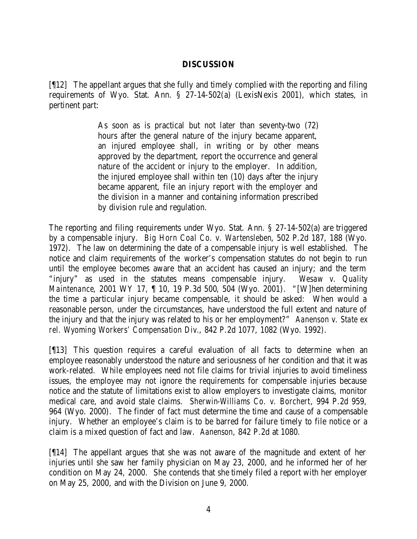### **DISCUSSION**

[¶12] The appellant argues that she fully and timely complied with the reporting and filing requirements of Wyo. Stat. Ann. § 27-14-502(a) (LexisNexis 2001), which states, in pertinent part:

> As soon as is practical but not later than seventy-two (72) hours after the general nature of the injury became apparent, an injured employee shall, in writing or by other means approved by the department, report the occurrence and general nature of the accident or injury to the employer. In addition, the injured employee shall within ten (10) days after the injury became apparent, file an injury report with the employer and the division in a manner and containing information prescribed by division rule and regulation.

The reporting and filing requirements under Wyo. Stat. Ann. § 27-14-502(a) are triggered by a compensable injury. *Big Horn Coal Co. v. Wartensleben*, 502 P.2d 187, 188 (Wyo. 1972). The law on determining the date of a compensable injury is well established. The notice and claim requirements of the worker's compensation statutes do not begin to run until the employee becomes aware that an accident has caused an injury; and the term "injury" as used in the statutes means compensable injury. *Wesaw v. Quality Maintenance*, 2001 WY 17, ¶ 10, 19 P.3d 500, 504 (Wyo. 2001). "[W]hen determining the time a particular injury became compensable, it should be asked: When would a reasonable person, under the circumstances, have understood the full extent and nature of the injury and that the injury was related to his or her employment?" *Aanenson v. State ex rel. Wyoming Workers' Compensation Div.*, 842 P.2d 1077, 1082 (Wyo. 1992).

[¶13] This question requires a careful evaluation of all facts to determine when an employee reasonably understood the nature and seriousness of her condition and that it was work-related. While employees need not file claims for trivial injuries to avoid timeliness issues, the employee may not ignore the requirements for compensable injuries because notice and the statute of limitations exist to allow employers to investigate claims, monitor medical care, and avoid stale claims. *Sherwin-Williams Co. v. Borchert*, 994 P.2d 959, 964 (Wyo. 2000). The finder of fact must determine the time and cause of a compensable injury. Whether an employee's claim is to be barred for failure timely to file notice or a claim is a mixed question of fact and law. *Aanenson*, 842 P.2d at 1080.

[¶14] The appellant argues that she was not aware of the magnitude and extent of her injuries until she saw her family physician on May 23, 2000, and he informed her of her condition on May 24, 2000. She contends that she timely filed a report with her employer on May 25, 2000, and with the Division on June 9, 2000.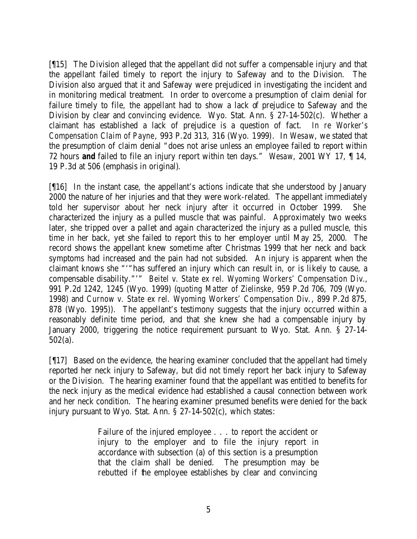[¶15] The Division alleged that the appellant did not suffer a compensable injury and that the appellant failed timely to report the injury to Safeway and to the Division. The Division also argued that it and Safeway were prejudiced in investigating the incident and in monitoring medical treatment. In order to overcome a presumption of claim denial for failure timely to file, the appellant had to show a lack of prejudice to Safeway and the Division by clear and convincing evidence. Wyo. Stat. Ann. § 27-14-502(c). Whether a claimant has established a lack of prejudice is a question of fact. *In re Worker's Compensation Claim of Payne*, 993 P.2d 313, 316 (Wyo. 1999). In *Wesaw*, we stated that the presumption of claim denial "does not arise unless an employee failed to report within 72 hours *and* failed to file an injury report within ten days." *Wesaw*, 2001 WY 17, ¶ 14, 19 P.3d at 506 (emphasis in original).

[¶16] In the instant case, the appellant's actions indicate that she understood by January 2000 the nature of her injuries and that they were work-related. The appellant immediately told her supervisor about her neck injury after it occurred in October 1999. She characterized the injury as a pulled muscle that was painful. Approximately two weeks later, she tripped over a pallet and again characterized the injury as a pulled muscle, this time in her back, yet she failed to report this to her employer until May 25, 2000. The record shows the appellant knew sometime after Christmas 1999 that her neck and back symptoms had increased and the pain had not subsided. An injury is apparent when the claimant knows she "'"has suffered an injury which can result in, or is likely to cause, a compensable disability."'" *Beitel v. State ex rel. Wyoming Workers' Compensation Div.*, 991 P.2d 1242, 1245 (Wyo. 1999) (*quoting Matter of Zielinske*, 959 P.2d 706, 709 (Wyo. 1998) and *Curnow v. State ex rel. Wyoming Workers' Compensation Div.*, 899 P.2d 875, 878 (Wyo. 1995)). The appellant's testimony suggests that the injury occurred within a reasonably definite time period, and that she knew she had a compensable injury by January 2000, triggering the notice requirement pursuant to Wyo. Stat. Ann. § 27-14- 502(a).

[¶17] Based on the evidence, the hearing examiner concluded that the appellant had timely reported her neck injury to Safeway, but did not timely report her back injury to Safeway or the Division. The hearing examiner found that the appellant was entitled to benefits for the neck injury as the medical evidence had established a causal connection between work and her neck condition. The hearing examiner presumed benefits were denied for the back injury pursuant to Wyo. Stat. Ann. § 27-14-502(c), which states:

> Failure of the injured employee . . . to report the accident or injury to the employer and to file the injury report in accordance with subsection (a) of this section is a presumption that the claim shall be denied. The presumption may be rebutted if the employee establishes by clear and convincing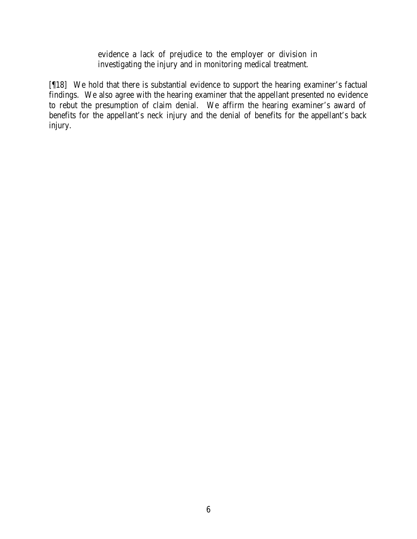evidence a lack of prejudice to the employer or division in investigating the injury and in monitoring medical treatment.

[¶18] We hold that there is substantial evidence to support the hearing examiner's factual findings. We also agree with the hearing examiner that the appellant presented no evidence to rebut the presumption of claim denial. We affirm the hearing examiner's award of benefits for the appellant's neck injury and the denial of benefits for the appellant's back injury.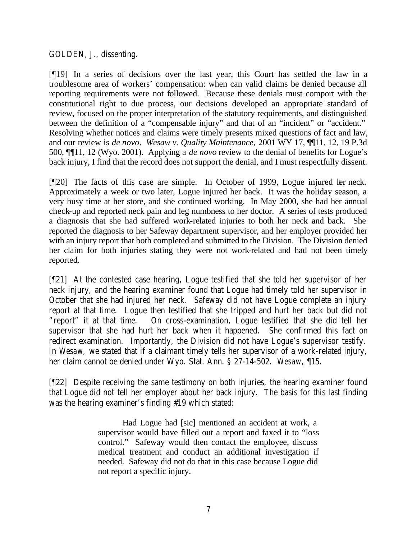# GOLDEN, J., dissenting.

[¶19] In a series of decisions over the last year, this Court has settled the law in a troublesome area of workers' compensation: when can valid claims be denied because all reporting requirements were not followed. Because these denials must comport with the constitutional right to due process, our decisions developed an appropriate standard of review, focused on the proper interpretation of the statutory requirements, and distinguished between the definition of a "compensable injury" and that of an "incident" or "accident." Resolving whether notices and claims were timely presents mixed questions of fact and law, and our review is *de novo*. *Wesaw v. Quality Maintenance,* 2001 WY 17, ¶¶11, 12, 19 P.3d 500, ¶¶11, 12 (Wyo. 2001). Applying a *de novo* review to the denial of benefits for Logue's back injury, I find that the record does not support the denial, and I must respectfully dissent.

[¶20] The facts of this case are simple. In October of 1999, Logue injured her neck. Approximately a week or two later, Logue injured her back. It was the holiday season, a very busy time at her store, and she continued working. In May 2000, she had her annual check-up and reported neck pain and leg numbness to her doctor. A series of tests produced a diagnosis that she had suffered work-related injuries to both her neck and back. She reported the diagnosis to her Safeway department supervisor, and her employer provided her with an injury report that both completed and submitted to the Division. The Division denied her claim for both injuries stating they were not work-related and had not been timely reported.

[¶21] At the contested case hearing, Logue testified that she told her supervisor of her neck injury, and the hearing examiner found that Logue had timely told her supervisor in October that she had injured her neck. Safeway did not have Logue complete an injury report at that time. Logue then testified that she tripped and hurt her back but did not "report" it at that time. On cross-examination, Logue testified that she did tell her supervisor that she had hurt her back when it happened. She confirmed this fact on redirect examination. Importantly, the Division did not have Logue's supervisor testify. In *Wesaw,* we stated that if a claimant timely tells her supervisor of a work-related injury, her claim cannot be denied under Wyo. Stat. Ann. § 27-14-502. *Wesaw,* ¶15.

[¶22] Despite receiving the same testimony on both injuries, the hearing examiner found that Logue did not tell her employer about her back injury. The basis for this last finding was the hearing examiner's finding #19 which stated:

> Had Logue had [sic] mentioned an accident at work, a supervisor would have filled out a report and faxed it to "loss control." Safeway would then contact the employee, discuss medical treatment and conduct an additional investigation if needed. Safeway did not do that in this case because Logue did not report a specific injury.